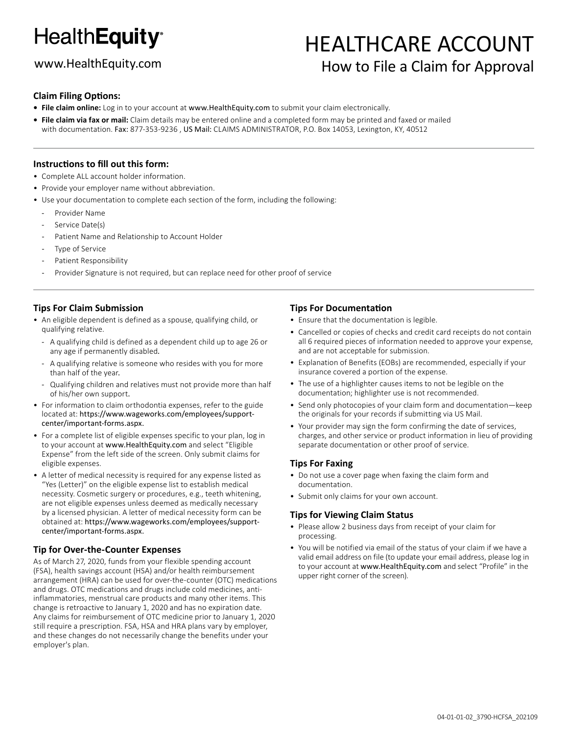# **HealthEquity®**

## www.HealthEquity.com

# HEALTHCARE ACCOUNT How to File a Claim for Approval

#### **Claim Filing Options:**

- **• File claim online:** Log in to your account at www.HealthEquity.com to submit your claim electronically.
- **• File claim via fax or mail:** Claim details may be entered online and a completed form may be printed and faxed or mailed with documentation. Fax: 877-353-9236 , US Mail: CLAIMS ADMINISTRATOR, P.O. Box 14053, Lexington, KY, 40512

#### **Instructions to fill out this form:**

- Complete ALL account holder information.
- Provide your employer name without abbreviation.
- Use your documentation to complete each section of the form, including the following:
	- Provider Name
	- Service Date(s)
	- Patient Name and Relationship to Account Holder
	- Type of Service
	- Patient Responsibility
	- Provider Signature is not required, but can replace need for other proof of service

#### **Tips For Claim Submission**

- An eligible dependent is defined as a spouse, qualifying child, or qualifying relative.
	- A qualifying child is defined as a dependent child up to age 26 or any age if permanently disabled.
	- A qualifying relative is someone who resides with you for more than half of the year.
	- Qualifying children and relatives must not provide more than half of his/her own support.
- For information to claim orthodontia expenses, refer to the guide located at: https://www.wageworks.com/employees/supportcenter/important-forms.aspx.
- For a complete list of eligible expenses specific to your plan, log in to your account at www.HealthEquity.com and select "Eligible Expense" from the left side of the screen. Only submit claims for eligible expenses.
- A letter of medical necessity is required for any expense listed as "Yes (Letter)" on the eligible expense list to establish medical necessity. Cosmetic surgery or procedures, e.g., teeth whitening, are not eligible expenses unless deemed as medically necessary by a licensed physician. A letter of medical necessity form can be obtained at: https://www.wageworks.com/employees/supportcenter/important-forms.aspx.

#### **Tip for Over-the-Counter Expenses**

As of March 27, 2020, funds from your flexible spending account (FSA), health savings account (HSA) and/or health reimbursement arrangement (HRA) can be used for over-the-counter (OTC) medications and drugs. OTC medications and drugs include cold medicines, antiinflammatories, menstrual care products and many other items. This change is retroactive to January 1, 2020 and has no expiration date. Any claims for reimbursement of OTC medicine prior to January 1, 2020 still require a prescription. FSA, HSA and HRA plans vary by employer, and these changes do not necessarily change the benefits under your employer's plan.

#### **Tips For Documentation**

• Ensure that the documentation is legible.

- Cancelled or copies of checks and credit card receipts do not contain all 6 required pieces of information needed to approve your expense, and are not acceptable for submission.
- Explanation of Benefits (EOBs) are recommended, especially if your insurance covered a portion of the expense.
- The use of a highlighter causes items to not be legible on the documentation; highlighter use is not recommended.
- Send only photocopies of your claim form and documentation—keep the originals for your records if submitting via US Mail.
- Your provider may sign the form confirming the date of services, charges, and other service or product information in lieu of providing separate documentation or other proof of service.

#### **Tips For Faxing**

- Do not use a cover page when faxing the claim form and documentation.
- Submit only claims for your own account.

#### **Tips for Viewing Claim Status**

- Please allow 2 business days from receipt of your claim for processing.
- You will be notified via email of the status of your claim if we have a valid email address on file (to update your email address, please log in to your account at www.HealthEquity.com and select "Profile" in the upper right corner of the screen).